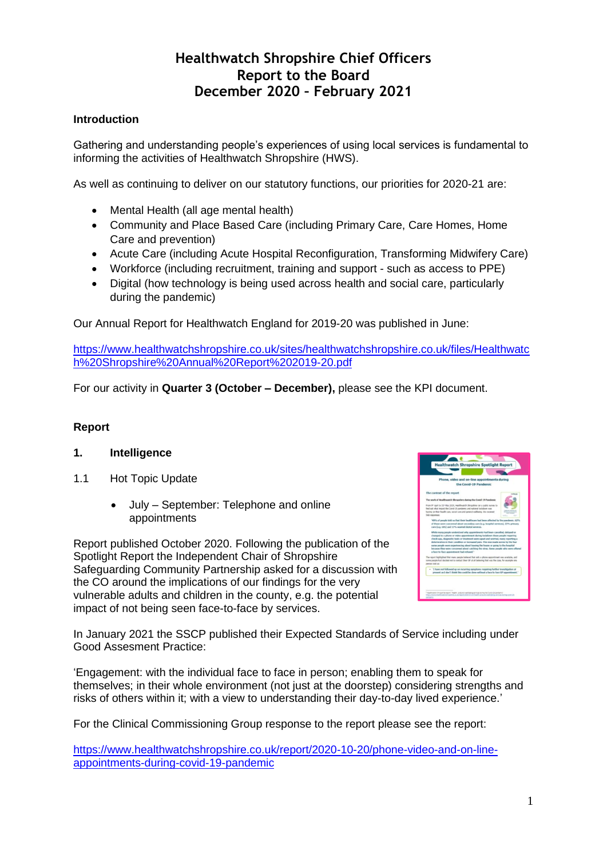# **Healthwatch Shropshire Chief Officers Report to the Board December 2020 – February 2021**

# **Introduction**

Gathering and understanding people's experiences of using local services is fundamental to informing the activities of Healthwatch Shropshire (HWS).

As well as continuing to deliver on our statutory functions, our priorities for 2020-21 are:

- Mental Health (all age mental health)
- Community and Place Based Care (including Primary Care, Care Homes, Home Care and prevention)
- Acute Care (including Acute Hospital Reconfiguration, Transforming Midwifery Care)
- Workforce (including recruitment, training and support such as access to PPE)
- Digital (how technology is being used across health and social care, particularly during the pandemic)

Our Annual Report for Healthwatch England for 2019-20 was published in June:

[https://www.healthwatchshropshire.co.uk/sites/healthwatchshropshire.co.uk/files/Healthwatc](https://www.healthwatchshropshire.co.uk/sites/healthwatchshropshire.co.uk/files/Healthwatch%20Shropshire%20Annual%20Report%202019-20.pdf) [h%20Shropshire%20Annual%20Report%202019-20.pdf](https://www.healthwatchshropshire.co.uk/sites/healthwatchshropshire.co.uk/files/Healthwatch%20Shropshire%20Annual%20Report%202019-20.pdf)

For our activity in **Quarter 3 (October – December),** please see the KPI document.

# **Report**

### **1. Intelligence**

- 1.1 Hot Topic Update
	- July September: Telephone and online appointments

Report published October 2020. Following the publication of the Spotlight Report the Independent Chair of Shropshire Safeguarding Community Partnership asked for a discussion with the CO around the implications of our findings for the very vulnerable adults and children in the county, e.g. the potential impact of not being seen face-to-face by services.



In January 2021 the SSCP published their Expected Standards of Service including under Good Assesment Practice:

'Engagement: with the individual face to face in person; enabling them to speak for themselves; in their whole environment (not just at the doorstep) considering strengths and risks of others within it; with a view to understanding their day-to-day lived experience.'

For the Clinical Commissioning Group response to the report please see the report:

[https://www.healthwatchshropshire.co.uk/report/2020-10-20/phone-video-and-on-line](https://www.healthwatchshropshire.co.uk/report/2020-10-20/phone-video-and-on-line-appointments-during-covid-19-pandemic)[appointments-during-covid-19-pandemic](https://www.healthwatchshropshire.co.uk/report/2020-10-20/phone-video-and-on-line-appointments-during-covid-19-pandemic)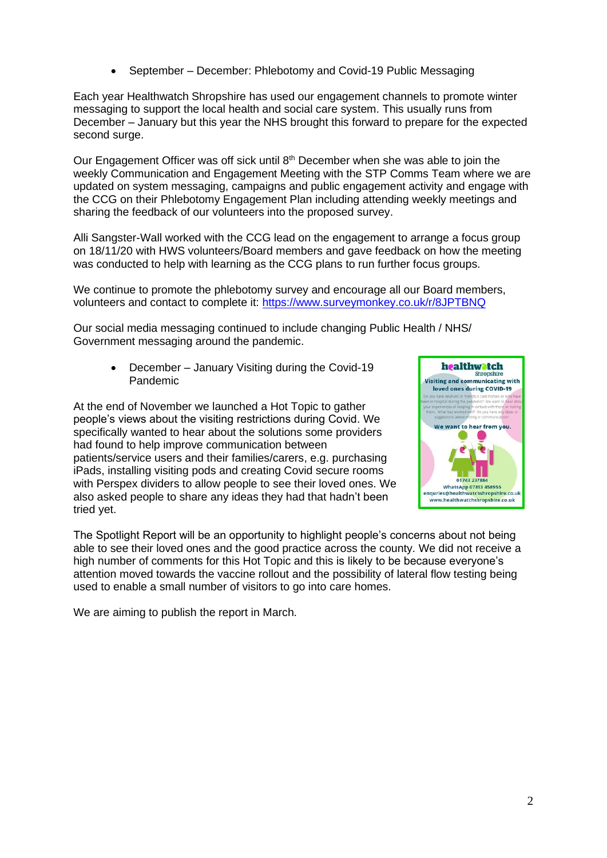• September – December: Phlebotomy and Covid-19 Public Messaging

Each year Healthwatch Shropshire has used our engagement channels to promote winter messaging to support the local health and social care system. This usually runs from December – January but this year the NHS brought this forward to prepare for the expected second surge.

Our Engagement Officer was off sick until  $8<sup>th</sup>$  December when she was able to join the weekly Communication and Engagement Meeting with the STP Comms Team where we are updated on system messaging, campaigns and public engagement activity and engage with the CCG on their Phlebotomy Engagement Plan including attending weekly meetings and sharing the feedback of our volunteers into the proposed survey.

Alli Sangster-Wall worked with the CCG lead on the engagement to arrange a focus group on 18/11/20 with HWS volunteers/Board members and gave feedback on how the meeting was conducted to help with learning as the CCG plans to run further focus groups.

We continue to promote the phlebotomy survey and encourage all our Board members, volunteers and contact to complete it: <https://www.surveymonkey.co.uk/r/8JPTBNQ>

Our social media messaging continued to include changing Public Health / NHS/ Government messaging around the pandemic.

• December – January Visiting during the Covid-19 Pandemic

At the end of November we launched a Hot Topic to gather people's views about the visiting restrictions during Covid. We specifically wanted to hear about the solutions some providers had found to help improve communication between patients/service users and their families/carers, e.g. purchasing iPads, installing visiting pods and creating Covid secure rooms with Perspex dividers to allow people to see their loved ones. We also asked people to share any ideas they had that hadn't been tried yet.



The Spotlight Report will be an opportunity to highlight people's concerns about not being able to see their loved ones and the good practice across the county. We did not receive a high number of comments for this Hot Topic and this is likely to be because everyone's attention moved towards the vaccine rollout and the possibility of lateral flow testing being used to enable a small number of visitors to go into care homes.

We are aiming to publish the report in March.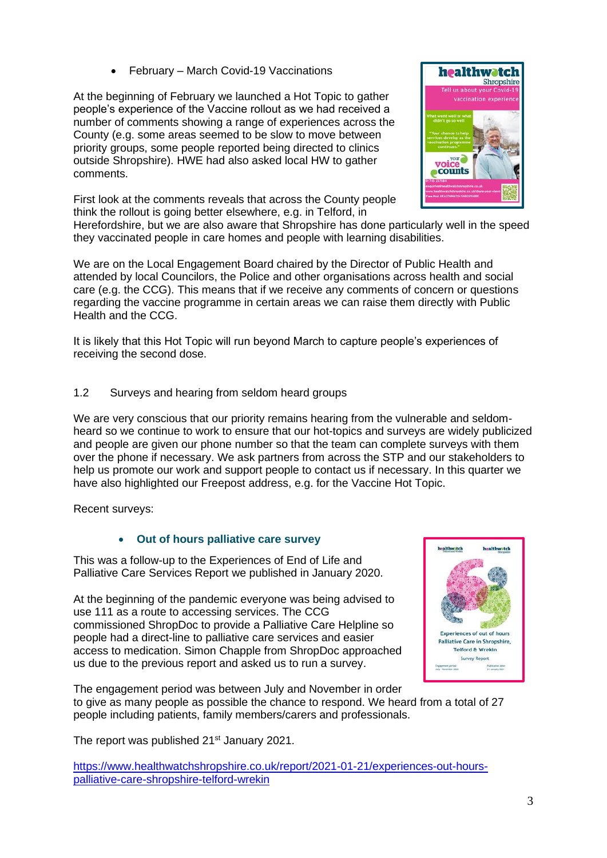• February – March Covid-19 Vaccinations

At the beginning of February we launched a Hot Topic to gather people's experience of the Vaccine rollout as we had received a number of comments showing a range of experiences across the County (e.g. some areas seemed to be slow to move between priority groups, some people reported being directed to clinics outside Shropshire). HWE had also asked local HW to gather comments.

First look at the comments reveals that across the County people think the rollout is going better elsewhere, e.g. in Telford, in



Herefordshire, but we are also aware that Shropshire has done particularly well in the speed they vaccinated people in care homes and people with learning disabilities.

We are on the Local Engagement Board chaired by the Director of Public Health and attended by local Councilors, the Police and other organisations across health and social care (e.g. the CCG). This means that if we receive any comments of concern or questions regarding the vaccine programme in certain areas we can raise them directly with Public Health and the CCG.

It is likely that this Hot Topic will run beyond March to capture people's experiences of receiving the second dose.

1.2 Surveys and hearing from seldom heard groups

We are very conscious that our priority remains hearing from the vulnerable and seldomheard so we continue to work to ensure that our hot-topics and surveys are widely publicized and people are given our phone number so that the team can complete surveys with them over the phone if necessary. We ask partners from across the STP and our stakeholders to help us promote our work and support people to contact us if necessary. In this quarter we have also highlighted our Freepost address, e.g. for the Vaccine Hot Topic.

Recent surveys:

# • **Out of hours palliative care survey**

This was a follow-up to the Experiences of End of Life and Palliative Care Services Report we published in January 2020.

At the beginning of the pandemic everyone was being advised to use 111 as a route to accessing services. The CCG commissioned ShropDoc to provide a Palliative Care Helpline so people had a direct-line to palliative care services and easier access to medication. Simon Chapple from ShropDoc approached us due to the previous report and asked us to run a survey.



The engagement period was between July and November in order to give as many people as possible the chance to respond. We heard from a total of 27 people including patients, family members/carers and professionals.

The report was published 21<sup>st</sup> January 2021.

https://www.healthwatchshropshire.co.uk/report/2021-01-21/experiences-out-hourspalliative-care-shropshire-telford-wrekin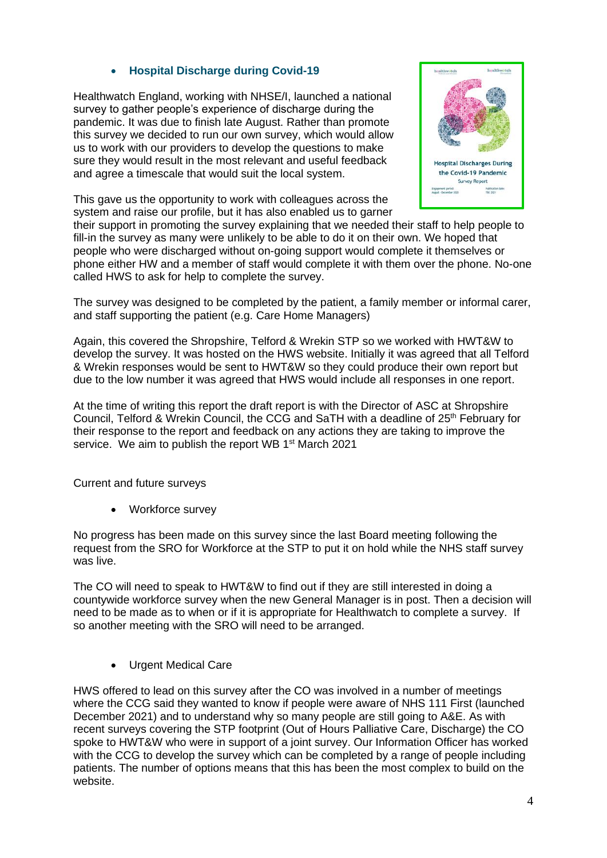# • **Hospital Discharge during Covid-19**

Healthwatch England, working with NHSE/I, launched a national survey to gather people's experience of discharge during the pandemic. It was due to finish late August. Rather than promote this survey we decided to run our own survey, which would allow us to work with our providers to develop the questions to make sure they would result in the most relevant and useful feedback and agree a timescale that would suit the local system.

This gave us the opportunity to work with colleagues across the system and raise our profile, but it has also enabled us to garner



their support in promoting the survey explaining that we needed their staff to help people to fill-in the survey as many were unlikely to be able to do it on their own. We hoped that people who were discharged without on-going support would complete it themselves or phone either HW and a member of staff would complete it with them over the phone. No-one called HWS to ask for help to complete the survey.

The survey was designed to be completed by the patient, a family member or informal carer, and staff supporting the patient (e.g. Care Home Managers)

Again, this covered the Shropshire, Telford & Wrekin STP so we worked with HWT&W to develop the survey. It was hosted on the HWS website. Initially it was agreed that all Telford & Wrekin responses would be sent to HWT&W so they could produce their own report but due to the low number it was agreed that HWS would include all responses in one report.

At the time of writing this report the draft report is with the Director of ASC at Shropshire Council, Telford & Wrekin Council, the CCG and SaTH with a deadline of 25<sup>th</sup> February for their response to the report and feedback on any actions they are taking to improve the service. We aim to publish the report WB 1<sup>st</sup> March 2021

Current and future surveys

• Workforce survey

No progress has been made on this survey since the last Board meeting following the request from the SRO for Workforce at the STP to put it on hold while the NHS staff survey was live.

The CO will need to speak to HWT&W to find out if they are still interested in doing a countywide workforce survey when the new General Manager is in post. Then a decision will need to be made as to when or if it is appropriate for Healthwatch to complete a survey. If so another meeting with the SRO will need to be arranged.

• Urgent Medical Care

HWS offered to lead on this survey after the CO was involved in a number of meetings where the CCG said they wanted to know if people were aware of NHS 111 First (launched December 2021) and to understand why so many people are still going to A&E. As with recent surveys covering the STP footprint (Out of Hours Palliative Care, Discharge) the CO spoke to HWT&W who were in support of a joint survey. Our Information Officer has worked with the CCG to develop the survey which can be completed by a range of people including patients. The number of options means that this has been the most complex to build on the website.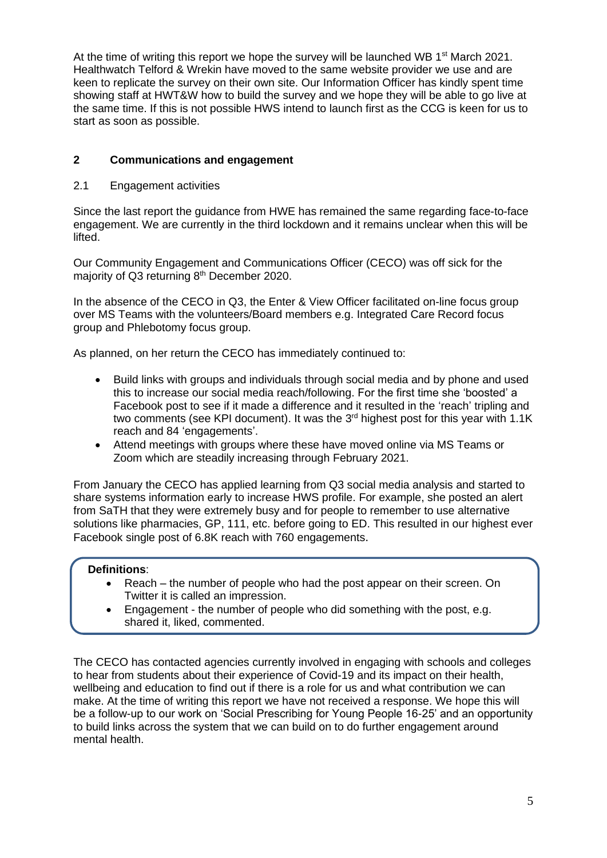At the time of writing this report we hope the survey will be launched WB  $1<sup>st</sup>$  March 2021. Healthwatch Telford & Wrekin have moved to the same website provider we use and are keen to replicate the survey on their own site. Our Information Officer has kindly spent time showing staff at HWT&W how to build the survey and we hope they will be able to go live at the same time. If this is not possible HWS intend to launch first as the CCG is keen for us to start as soon as possible.

# **2 Communications and engagement**

### 2.1 Engagement activities

Since the last report the guidance from HWE has remained the same regarding face-to-face engagement. We are currently in the third lockdown and it remains unclear when this will be lifted.

Our Community Engagement and Communications Officer (CECO) was off sick for the majority of Q3 returning 8<sup>th</sup> December 2020.

In the absence of the CECO in Q3, the Enter & View Officer facilitated on-line focus group over MS Teams with the volunteers/Board members e.g. Integrated Care Record focus group and Phlebotomy focus group.

As planned, on her return the CECO has immediately continued to:

- Build links with groups and individuals through social media and by phone and used this to increase our social media reach/following. For the first time she 'boosted' a Facebook post to see if it made a difference and it resulted in the 'reach' tripling and two comments (see KPI document). It was the 3<sup>rd</sup> highest post for this year with 1.1K reach and 84 'engagements'.
- Attend meetings with groups where these have moved online via MS Teams or Zoom which are steadily increasing through February 2021.

From January the CECO has applied learning from Q3 social media analysis and started to share systems information early to increase HWS profile. For example, she posted an alert from SaTH that they were extremely busy and for people to remember to use alternative solutions like pharmacies, GP, 111, etc. before going to ED. This resulted in our highest ever Facebook single post of 6.8K reach with 760 engagements.

### **Definitions**:

- Reach the number of people who had the post appear on their screen. On Twitter it is called an impression.
- Engagement the number of people who did something with the post, e.g. shared it, liked, commented.

The CECO has contacted agencies currently involved in engaging with schools and colleges to hear from students about their experience of Covid-19 and its impact on their health, wellbeing and education to find out if there is a role for us and what contribution we can make. At the time of writing this report we have not received a response. We hope this will be a follow-up to our work on 'Social Prescribing for Young People 16-25' and an opportunity to build links across the system that we can build on to do further engagement around mental health.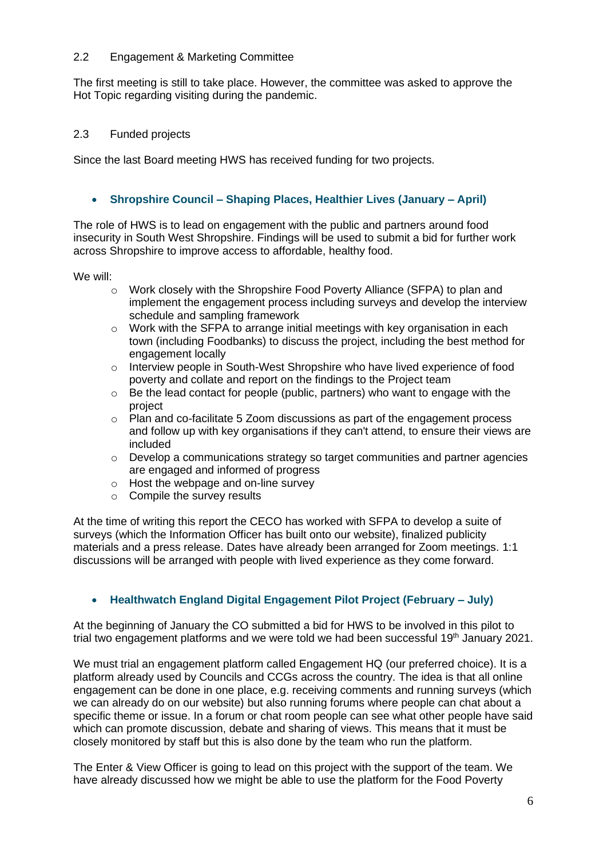## 2.2 Engagement & Marketing Committee

The first meeting is still to take place. However, the committee was asked to approve the Hot Topic regarding visiting during the pandemic.

# 2.3 Funded projects

Since the last Board meeting HWS has received funding for two projects.

# • **Shropshire Council – Shaping Places, Healthier Lives (January – April)**

The role of HWS is to lead on engagement with the public and partners around food insecurity in South West Shropshire. Findings will be used to submit a bid for further work across Shropshire to improve access to affordable, healthy food.

We will:

- o Work closely with the Shropshire Food Poverty Alliance (SFPA) to plan and implement the engagement process including surveys and develop the interview schedule and sampling framework
- $\circ$  Work with the SFPA to arrange initial meetings with key organisation in each town (including Foodbanks) to discuss the project, including the best method for engagement locally
- $\circ$  Interview people in South-West Shropshire who have lived experience of food poverty and collate and report on the findings to the Project team
- $\circ$  Be the lead contact for people (public, partners) who want to engage with the project
- o Plan and co-facilitate 5 Zoom discussions as part of the engagement process and follow up with key organisations if they can't attend, to ensure their views are included
- $\circ$  Develop a communications strategy so target communities and partner agencies are engaged and informed of progress
- o Host the webpage and on-line survey
- o Compile the survey results

At the time of writing this report the CECO has worked with SFPA to develop a suite of surveys (which the Information Officer has built onto our website), finalized publicity materials and a press release. Dates have already been arranged for Zoom meetings. 1:1 discussions will be arranged with people with lived experience as they come forward.

# • **Healthwatch England Digital Engagement Pilot Project (February – July)**

At the beginning of January the CO submitted a bid for HWS to be involved in this pilot to trial two engagement platforms and we were told we had been successful 19<sup>th</sup> January 2021.

We must trial an engagement platform called Engagement HQ (our preferred choice). It is a platform already used by Councils and CCGs across the country. The idea is that all online engagement can be done in one place, e.g. receiving comments and running surveys (which we can already do on our website) but also running forums where people can chat about a specific theme or issue. In a forum or chat room people can see what other people have said which can promote discussion, debate and sharing of views. This means that it must be closely monitored by staff but this is also done by the team who run the platform.

The Enter & View Officer is going to lead on this project with the support of the team. We have already discussed how we might be able to use the platform for the Food Poverty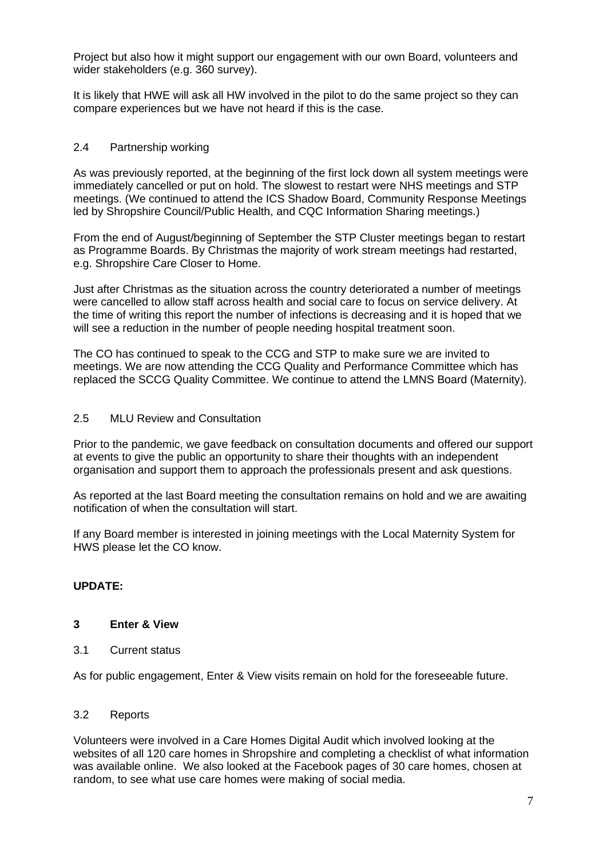Project but also how it might support our engagement with our own Board, volunteers and wider stakeholders (e.g. 360 survey).

It is likely that HWE will ask all HW involved in the pilot to do the same project so they can compare experiences but we have not heard if this is the case.

### 2.4 Partnership working

As was previously reported, at the beginning of the first lock down all system meetings were immediately cancelled or put on hold. The slowest to restart were NHS meetings and STP meetings. (We continued to attend the ICS Shadow Board, Community Response Meetings led by Shropshire Council/Public Health, and CQC Information Sharing meetings.)

From the end of August/beginning of September the STP Cluster meetings began to restart as Programme Boards. By Christmas the majority of work stream meetings had restarted, e.g. Shropshire Care Closer to Home.

Just after Christmas as the situation across the country deteriorated a number of meetings were cancelled to allow staff across health and social care to focus on service delivery. At the time of writing this report the number of infections is decreasing and it is hoped that we will see a reduction in the number of people needing hospital treatment soon.

The CO has continued to speak to the CCG and STP to make sure we are invited to meetings. We are now attending the CCG Quality and Performance Committee which has replaced the SCCG Quality Committee. We continue to attend the LMNS Board (Maternity).

#### 2.5 MLU Review and Consultation

Prior to the pandemic, we gave feedback on consultation documents and offered our support at events to give the public an opportunity to share their thoughts with an independent organisation and support them to approach the professionals present and ask questions.

As reported at the last Board meeting the consultation remains on hold and we are awaiting notification of when the consultation will start.

If any Board member is interested in joining meetings with the Local Maternity System for HWS please let the CO know.

### **UPDATE:**

#### **3 Enter & View**

3.1 Current status

As for public engagement, Enter & View visits remain on hold for the foreseeable future.

#### 3.2 Reports

Volunteers were involved in a Care Homes Digital Audit which involved looking at the websites of all 120 care homes in Shropshire and completing a checklist of what information was available online. We also looked at the Facebook pages of 30 care homes, chosen at random, to see what use care homes were making of social media.